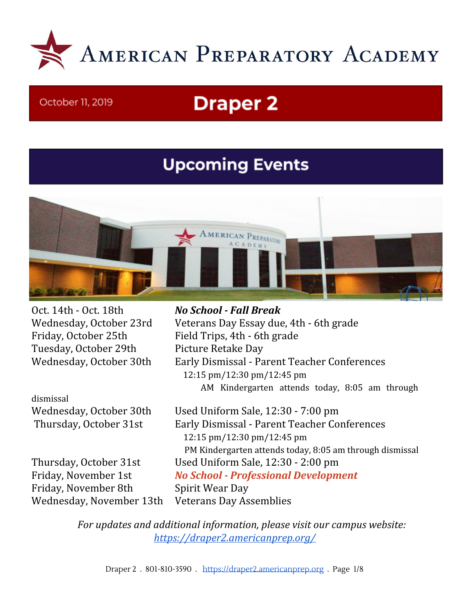

#### October 11, 2019

# **Draper 2**

## **Upcoming Events**



Oct. 14th - Oct. 18th *No School - Fall Break* Tuesday, October 29th Picture Retake Day

dismissal

Friday, November 8th Spirit Wear Day Wednesday, November 13th Veterans Day Assemblies

Wednesday, October 23rd Veterans Day Essay due, 4th - 6th grade Friday, October 25th Field Trips, 4th - 6th grade Wednesday, October 30th Early Dismissal - Parent Teacher Conferences 12:15 pm/12:30 pm/12:45 pm AM Kindergarten attends today, 8:05 am through

Wednesday, October 30th Used Uniform Sale, 12:30 - 7:00 pm Thursday, October 31st Early Dismissal - Parent Teacher Conferences 12:15 pm/12:30 pm/12:45 pm PM Kindergarten attends today, 8:05 am through dismissal Thursday, October 31st Used Uniform Sale, 12:30 - 2:00 pm Friday, November 1st *No School - Professional Development*

> *For updates and additional information, please visit our campus website: <https://draper2.americanprep.org/>*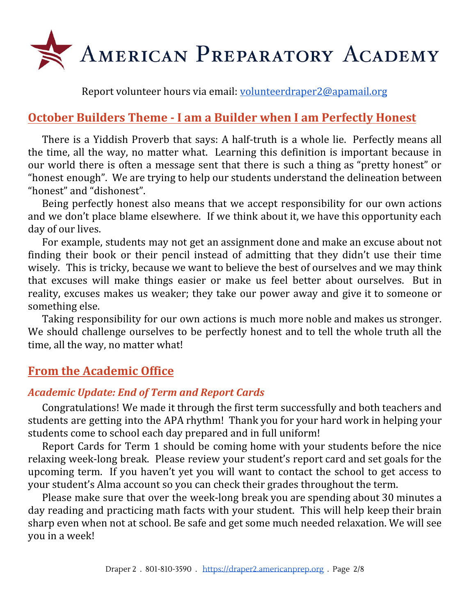

Report volunteer hours via email: [volunteerdraper2@apamail.org](mailto:volunteerdraper2@apamail.org)

## **October Builders Theme - I am a Builder when I am Perfectly Honest**

There is a Yiddish Proverb that says: A half-truth is a whole lie. Perfectly means all the time, all the way, no matter what. Learning this definition is important because in our world there is often a message sent that there is such a thing as "pretty honest" or "honest enough". We are trying to help our students understand the delineation between "honest" and "dishonest".

Being perfectly honest also means that we accept responsibility for our own actions and we don't place blame elsewhere. If we think about it, we have this opportunity each day of our lives.

For example, students may not get an assignment done and make an excuse about not finding their book or their pencil instead of admitting that they didn't use their time wisely. This is tricky, because we want to believe the best of ourselves and we may think that excuses will make things easier or make us feel better about ourselves. But in reality, excuses makes us weaker; they take our power away and give it to someone or something else.

Taking responsibility for our own actions is much more noble and makes us stronger. We should challenge ourselves to be perfectly honest and to tell the whole truth all the time, all the way, no matter what!

## **From the Academic Office**

## *Academic Update: End of Term and Report Cards*

Congratulations! We made it through the first term successfully and both teachers and students are getting into the APA rhythm! Thank you for your hard work in helping your students come to school each day prepared and in full uniform!

Report Cards for Term 1 should be coming home with your students before the nice relaxing week-long break. Please review your student's report card and set goals for the upcoming term. If you haven't yet you will want to contact the school to get access to your student's Alma account so you can check their grades throughout the term.

Please make sure that over the week-long break you are spending about 30 minutes a day reading and practicing math facts with your student. This will help keep their brain sharp even when not at school. Be safe and get some much needed relaxation. We will see you in a week!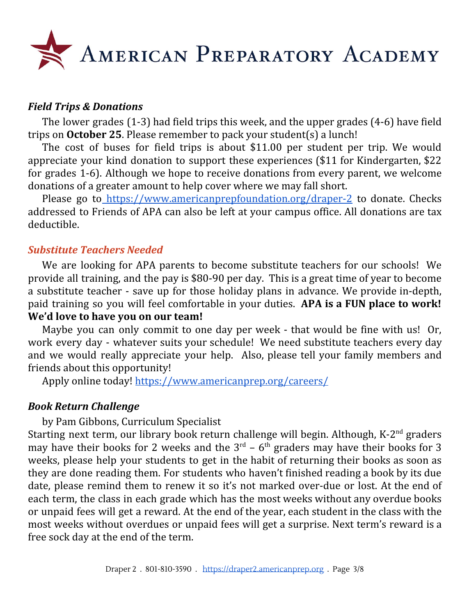

#### *Field Trips & Donations*

The lower grades (1-3) had field trips this week, and the upper grades (4-6) have field trips on **October 25**. Please remember to pack your student(s) a lunch!

The cost of buses for field trips is about \$11.00 per student per trip. We would appreciate your kind donation to support these experiences (\$11 for Kindergarten, \$22 for grades 1-6). Although we hope to receive donations from every parent, we welcome donations of a greater amount to help cover where we may fall short.

Please go to <https://www.americanprepfoundation.org/draper-2> to donate. Checks addressed to F[rie](https://www.americanprepfoundation.org/donate)nds of APA can also be left at your campus office. All donations are tax deductible.

#### *Substitute Teachers Needed*

We are looking for APA parents to become substitute teachers for our schools! We provide all training, and the pay is \$80-90 per day. This is a great time of year to become a substitute teacher - save up for those holiday plans in advance. We provide in-depth, paid training so you will feel comfortable in your duties. **APA is a FUN place to work! We'd love to have you on our team!**

Maybe you can only commit to one day per week - that would be fine with us! Or, work every day - whatever suits your schedule! We need substitute teachers every day and we would really appreciate your help. Also, please tell your family members and friends about this opportunity!

Apply online today! <https://www.americanprep.org/careers/>

#### *Book Return Challenge*

by Pam Gibbons, Curriculum Specialist

Starting next term, our library book return challenge will begin. Although, K-2<sup>nd</sup> graders may have their books for 2 weeks and the  $3<sup>rd</sup>$  – 6<sup>th</sup> graders may have their books for 3 weeks, please help your students to get in the habit of returning their books as soon as they are done reading them. For students who haven't finished reading a book by its due date, please remind them to renew it so it's not marked over-due or lost. At the end of each term, the class in each grade which has the most weeks without any overdue books or unpaid fees will get a reward. At the end of the year, each student in the class with the most weeks without overdues or unpaid fees will get a surprise. Next term's reward is a free sock day at the end of the term.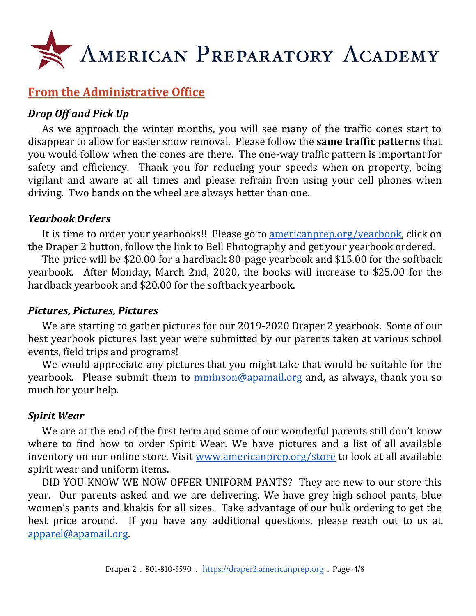

## **From the Administrative Office**

#### *Drop Off and Pick Up*

As we approach the winter months, you will see many of the traffic cones start to disappear to allow for easier snow removal. Please follow the **same traffic patterns** that you would follow when the cones are there. The one-way traffic pattern is important for safety and efficiency. Thank you for reducing your speeds when on property, being vigilant and aware at all times and please refrain from using your cell phones when driving. Two hands on the wheel are always better than one.

#### *Yearbook Orders*

It is time to order your yearbooks!! Please go to <u>americanprep.org/yearbook</u>, click on the Draper 2 button, follow the link to Bell Photography and get your yearbook ordered.

The price will be \$20.00 for a hardback 80-page yearbook and \$15.00 for the softback yearbook. After Monday, March 2nd, 2020, the books will increase to \$25.00 for the hardback yearbook and \$20.00 for the softback yearbook.

#### *Pictures, Pictures, Pictures*

We are starting to gather pictures for our 2019-2020 Draper 2 yearbook. Some of our best yearbook pictures last year were submitted by our parents taken at various school events, field trips and programs!

We would appreciate any pictures that you might take that would be suitable for the yearbook. Please submit them to [mminson@apamail.org](mailto:mminson@apamail.org) and, as always, thank you so much for your help.

#### *Spirit Wear*

We are at the end of the first term and some of our wonderful parents still don't know where to find how to order Spirit Wear. We have pictures and a list of all available inventory on our online store. Visit [www.americanprep.org/store](http://www.americanprep.org/store) to look at all available spirit wear and uniform items.

DID YOU KNOW WE NOW OFFER UNIFORM PANTS? They are new to our store this year. Our parents asked and we are delivering. We have grey high school pants, blue women's pants and khakis for all sizes. Take advantage of our bulk ordering to get the best price around. If you have any additional questions, please reach out to us at [apparel@apamail.org.](mailto:apparel@apamail.org)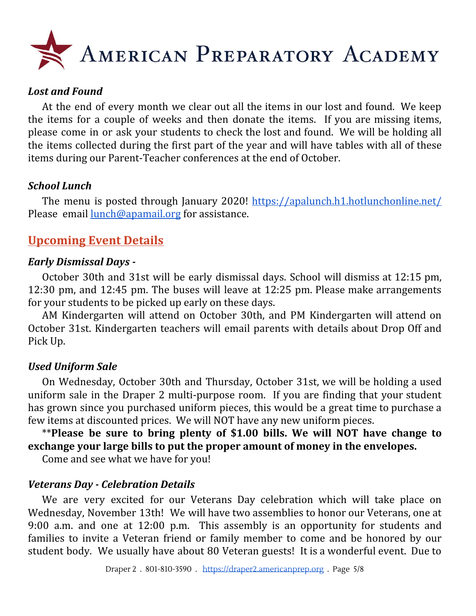

#### *Lost and Found*

At the end of every month we clear out all the items in our lost and found. We keep the items for a couple of weeks and then donate the items. If you are missing items, please come in or ask your students to check the lost and found. We will be holding all the items collected during the first part of the year and will have tables with all of these items during our Parent-Teacher conferences at the end of October.

#### *School Lunch*

The menu is posted through January 2020! <https://apalunch.h1.hotlunchonline.net/> Please email [lunch@apamail.org](mailto:lunch@apamail.org) for assistance.

## **Upcoming Event Details**

#### *Early Dismissal Days -*

October 30th and 31st will be early dismissal days. School will dismiss at 12:15 pm, 12:30 pm, and 12:45 pm. The buses will leave at 12:25 pm. Please make arrangements for your students to be picked up early on these days.

AM Kindergarten will attend on October 30th, and PM Kindergarten will attend on October 31st. Kindergarten teachers will email parents with details about Drop Off and Pick Up.

#### *Used Uniform Sale*

On Wednesday, October 30th and Thursday, October 31st, we will be holding a used uniform sale in the Draper 2 multi-purpose room. If you are finding that your student has grown since you purchased uniform pieces, this would be a great time to purchase a few items at discounted prices. We will NOT have any new uniform pieces.

\*\***Please be sure to bring plenty of \$1.00 bills. We will NOT have change to exchange your large bills to put the proper amount of money in the envelopes.**

Come and see what we have for you!

#### *Veterans Day - Celebration Details*

We are very excited for our Veterans Day celebration which will take place on Wednesday, November 13th! We will have two assemblies to honor our Veterans, one at 9:00 a.m. and one at 12:00 p.m. This assembly is an opportunity for students and families to invite a Veteran friend or family member to come and be honored by our student body. We usually have about 80 Veteran guests! It is a wonderful event. Due to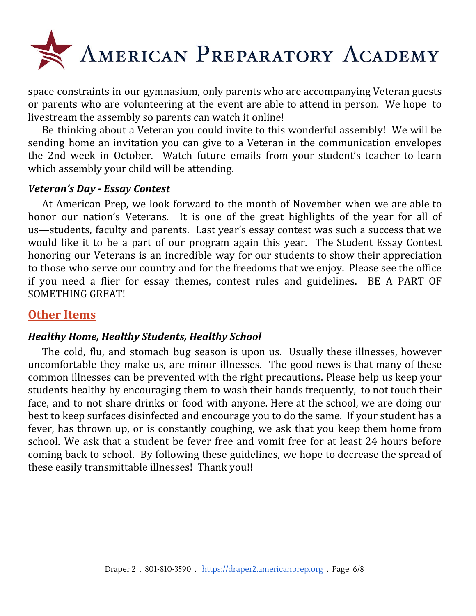

space constraints in our gymnasium, only parents who are accompanying Veteran guests or parents who are volunteering at the event are able to attend in person. We hope to livestream the assembly so parents can watch it online!

Be thinking about a Veteran you could invite to this wonderful assembly! We will be sending home an invitation you can give to a Veteran in the communication envelopes the 2nd week in October. Watch future emails from your student's teacher to learn which assembly your child will be attending.

#### *Veteran's Day - Essay Contest*

At American Prep, we look forward to the month of November when we are able to honor our nation's Veterans. It is one of the great highlights of the year for all of us—students, faculty and parents. Last year's essay contest was such a success that we would like it to be a part of our program again this year. The Student Essay Contest honoring our Veterans is an incredible way for our students to show their appreciation to those who serve our country and for the freedoms that we enjoy. Please see the office if you need a flier for essay themes, contest rules and guidelines. BE A PART OF SOMETHING GREAT!

## **Other Items**

#### *Healthy Home, Healthy Students, Healthy School*

The cold, flu, and stomach bug season is upon us. Usually these illnesses, however uncomfortable they make us, are minor illnesses. The good news is that many of these common illnesses can be prevented with the right precautions. Please help us keep your students healthy by encouraging them to wash their hands frequently, to not touch their face, and to not share drinks or food with anyone. Here at the school, we are doing our best to keep surfaces disinfected and encourage you to do the same. If your student has a fever, has thrown up, or is constantly coughing, we ask that you keep them home from school. We ask that a student be fever free and vomit free for at least 24 hours before coming back to school. By following these guidelines, we hope to decrease the spread of these easily transmittable illnesses! Thank you!!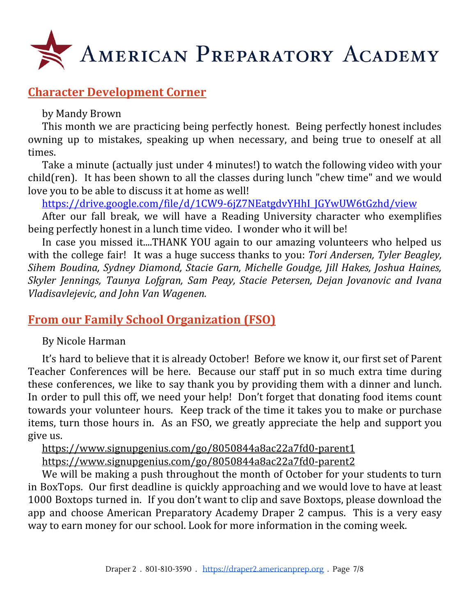

## **Character Development Corner**

#### by Mandy Brown

This month we are practicing being perfectly honest. Being perfectly honest includes owning up to mistakes, speaking up when necessary, and being true to oneself at all times.

Take a minute (actually just under 4 minutes!) to watch the following video with your child(ren). It has been shown to all the classes during lunch "chew time" and we would love you to be able to discuss it at home as well!

[https://drive.google.com/file/d/1CW9-6jZ7NEatgdvYHhI\\_JGYwUW6tGzhd/view](https://drive.google.com/file/d/1CW9-6jZ7NEatgdvYHhI_JGYwUW6tGzhd/view)

After our fall break, we will have a Reading University character who exemplifies being perfectly honest in a lunch time video. I wonder who it will be!

In case you missed it....THANK YOU again to our amazing volunteers who helped us with the college fair! It was a huge success thanks to you: *Tori Andersen, Tyler Beagley, Sihem Boudina, Sydney Diamond, Stacie Garn, Michelle Goudge, Jill Hakes, Joshua Haines, Skyler Jennings, Taunya Lofgran, Sam Peay, Stacie Petersen, Dejan Jovanovic and Ivana Vladisavlejevic, and John Van Wagenen.*

## **From our Family School Organization (FSO)**

By Nicole Harman

It's hard to believe that it is already October! Before we know it, our first set of Parent Teacher Conferences will be here. Because our staff put in so much extra time during these conferences, we like to say thank you by providing them with a dinner and lunch. In order to pull this off, we need your help! Don't forget that donating food items count towards your volunteer hours. Keep track of the time it takes you to make or purchase items, turn those hours in. As an FSO, we greatly appreciate the help and support you give us.

<https://www.signupgenius.com/go/8050844a8ac22a7fd0-parent1> <https://www.signupgenius.com/go/8050844a8ac22a7fd0-parent2>

We will be making a push throughout the month of October for your students to turn in BoxTops. Our first deadline is quickly approaching and we would love to have at least 1000 Boxtops turned in. If you don't want to clip and save Boxtops, please download the app and choose American Preparatory Academy Draper 2 campus. This is a very easy way to earn money for our school. Look for more information in the coming week.